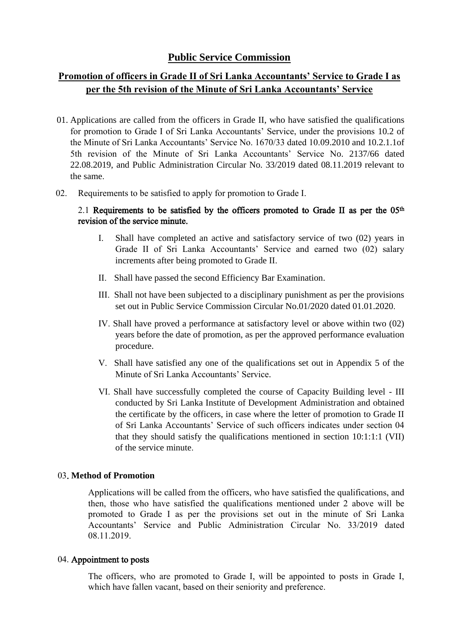## **Public Service Commission**

# **Promotion of officers in Grade II of Sri Lanka Accountants' Service to Grade I as per the 5th revision of the Minute of Sri Lanka Accountants' Service**

- 01. Applications are called from the officers in Grade II, who have satisfied the qualifications for promotion to Grade I of Sri Lanka Accountants' Service, under the provisions 10.2 of the Minute of Sri Lanka Accountants' Service No. 1670/33 dated 10.09.2010 and 10.2.1.1of 5th revision of the Minute of Sri Lanka Accountants' Service No. 2137/66 dated 22.08.2019, and Public Administration Circular No. 33/2019 dated 08.11.2019 relevant to the same.
- 02. Requirements to be satisfied to apply for promotion to Grade I.

#### 2.1 Requirements to be satisfied by the officers promoted to Grade II as per the  $05<sup>th</sup>$ revision of the service minute.

- I. Shall have completed an active and satisfactory service of two (02) years in Grade II of Sri Lanka Accountants' Service and earned two (02) salary increments after being promoted to Grade II.
- II. Shall have passed the second Efficiency Bar Examination.
- III. Shall not have been subjected to a disciplinary punishment as per the provisions set out in Public Service Commission Circular No.01/2020 dated 01.01.2020.
- IV. Shall have proved a performance at satisfactory level or above within two (02) years before the date of promotion, as per the approved performance evaluation procedure.
- V. Shall have satisfied any one of the qualifications set out in Appendix 5 of the Minute of Sri Lanka Accountants' Service.
- VI. Shall have successfully completed the course of Capacity Building level III conducted by Sri Lanka Institute of Development Administration and obtained the certificate by the officers, in case where the letter of promotion to Grade II of Sri Lanka Accountants' Service of such officers indicates under section 04 that they should satisfy the qualifications mentioned in section 10:1:1:1 (VII) of the service minute.

#### 03. **Method of Promotion**

Applications will be called from the officers, who have satisfied the qualifications, and then, those who have satisfied the qualifications mentioned under 2 above will be promoted to Grade I as per the provisions set out in the minute of Sri Lanka Accountants' Service and Public Administration Circular No. 33/2019 dated 08.11.2019.

#### 04. Appointment to posts

The officers, who are promoted to Grade I, will be appointed to posts in Grade I, which have fallen vacant, based on their seniority and preference.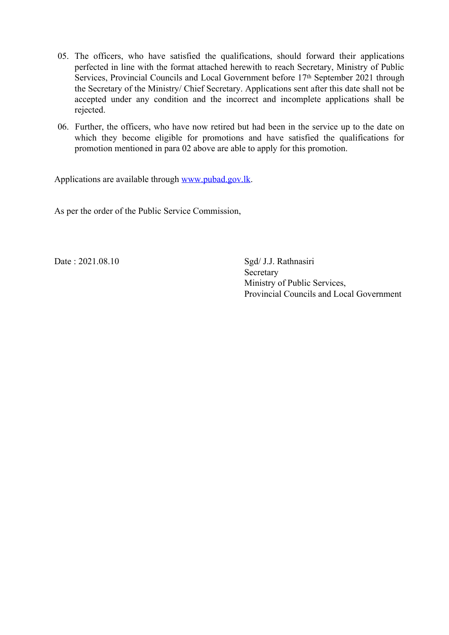- 05. The officers, who have satisfied the qualifications, should forward their applications perfected in line with the format attached herewith to reach Secretary, Ministry of Public Services, Provincial Councils and Local Government before 17<sup>th</sup> September 2021 through the Secretary of the Ministry/ Chief Secretary. Applications sent after this date shall not be accepted under any condition and the incorrect and incomplete applications shall be rejected.
- 06. Further, the officers, who have now retired but had been in the service up to the date on which they become eligible for promotions and have satisfied the qualifications for promotion mentioned in para 02 above are able to apply for this promotion.

Applications are available through [www.pubad.gov.lk](https://www.pubad.gov.lk/).

As per the order of the Public Service Commission,

Date : 2021.08.10 Sgd/ J.J. Rathnasiri Secretary Ministry of Public Services, Provincial Councils and Local Government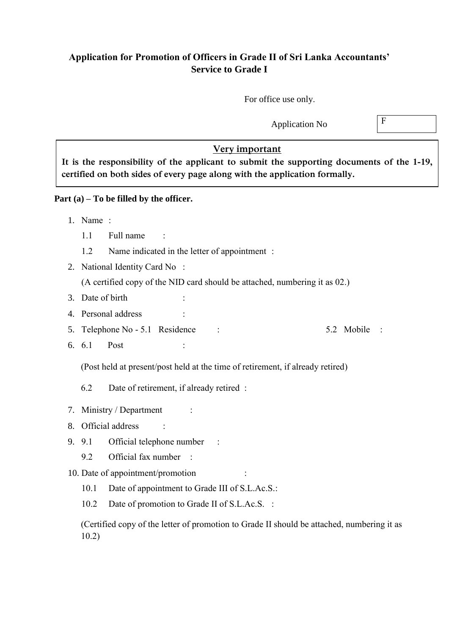## **Application for Promotion of Officers in Grade II of Sri Lanka Accountants' Service to Grade I**

For office use only.

Application No  $\boxed{F}$ 

### **Very important**

**It is the responsibility of the applicant to submit the supporting documents of the 1-19, certified on both sides of every page along with the application formally.** 

**Part (a) – To be filled by the officer.**

- 1. Name :
	- 1.1 Full name :
	- 1.2 Name indicated in the letter of appointment :
- 2. National Identity Card No :

(A certified copy of the NID card should be attached, numbering it as 02.)

- 3. Date of birth
- 4. Personal address :
- 5. Telephone No 5.1 Residence : 5.2 Mobile :
- 6.  $6.1$  Post

(Post held at present/post held at the time of retirement, if already retired)

6.2 Date of retirement, if already retired :

- 7. Ministry / Department :
- 8. Official address  $\cdot$
- 9. 9.1 Official telephone number :
	- 9.2 Official fax number :

### 10. Date of appointment/promotion :

- 10.1 Date of appointment to Grade III of S.L.Ac.S.:
- 10.2 Date of promotion to Grade II of S.L.Ac.S. :

(Certified copy of the letter of promotion to Grade II should be attached, numbering it as 10.2)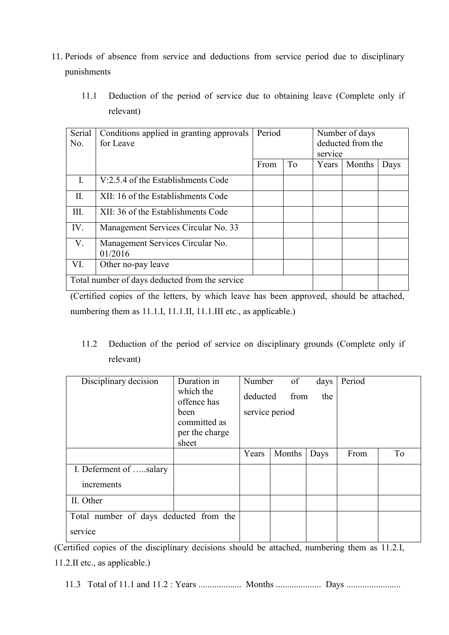- 11. Periods of absence from service and deductions from service period due to disciplinary punishments
	- 11.1 Deduction of the period of service due to obtaining leave (Complete only if relevant)

| Serial<br>N <sub>0</sub>                       | Conditions applied in granting approvals<br>for Leave | Period |                | Number of days<br>deducted from the<br>service |        |      |
|------------------------------------------------|-------------------------------------------------------|--------|----------------|------------------------------------------------|--------|------|
|                                                |                                                       | From   | T <sub>o</sub> | Years                                          | Months | Days |
| I.                                             | V:2.5.4 of the Establishments Code                    |        |                |                                                |        |      |
| Π.                                             | XII: 16 of the Establishments Code                    |        |                |                                                |        |      |
| III.                                           | XII: 36 of the Establishments Code                    |        |                |                                                |        |      |
| IV.                                            | Management Services Circular No. 33                   |        |                |                                                |        |      |
| V.                                             | Management Services Circular No.<br>01/2016           |        |                |                                                |        |      |
| VI.                                            | Other no-pay leave                                    |        |                |                                                |        |      |
| Total number of days deducted from the service |                                                       |        |                |                                                |        |      |

(Certified copies of the letters, by which leave has been approved, should be attached, numbering them as 11.1.I, 11.1.II, 11.1.III etc., as applicable.)

11.2 Deduction of the period of service on disciplinary grounds (Complete only if relevant)

| Disciplinary decision                  | Duration in              | Number         | of     | days | Period |                |
|----------------------------------------|--------------------------|----------------|--------|------|--------|----------------|
|                                        | which the<br>offence has | deducted       | from   | the  |        |                |
|                                        | been                     | service period |        |      |        |                |
|                                        | committed as             |                |        |      |        |                |
|                                        | per the charge           |                |        |      |        |                |
|                                        | sheet                    |                |        |      |        |                |
|                                        |                          | Years          | Months | Days | From   | T <sub>o</sub> |
| I. Deferment of salary                 |                          |                |        |      |        |                |
| increments                             |                          |                |        |      |        |                |
| II. Other                              |                          |                |        |      |        |                |
| Total number of days deducted from the |                          |                |        |      |        |                |
| service                                |                          |                |        |      |        |                |

(Certified copies of the disciplinary decisions should be attached, numbering them as 11.2.I, 11.2.II etc., as applicable.)

11.3 Total of 11.1 and 11.2 : Years ................... Months .................... Days ........................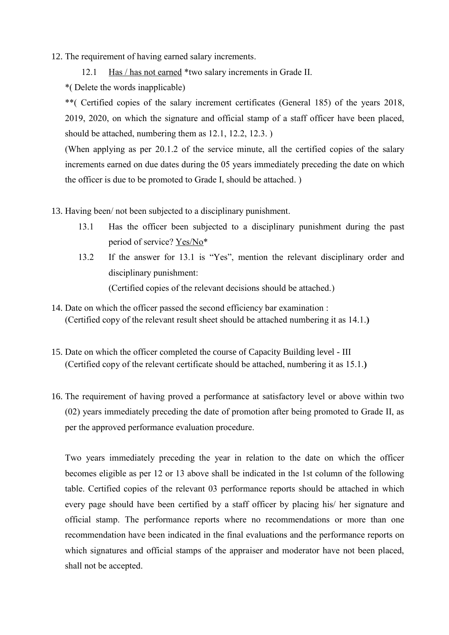- 12. The requirement of having earned salary increments.
	- 12.1 Has / has not earned \*two salary increments in Grade II.

\*( Delete the words inapplicable)

\*\*( Certified copies of the salary increment certificates (General 185) of the years 2018, 2019, 2020, on which the signature and official stamp of a staff officer have been placed, should be attached, numbering them as 12.1, 12.2, 12.3. )

(When applying as per 20.1.2 of the service minute, all the certified copies of the salary increments earned on due dates during the 05 years immediately preceding the date on which the officer is due to be promoted to Grade I, should be attached. )

- 13. Having been/ not been subjected to a disciplinary punishment.
	- 13.1 Has the officer been subjected to a disciplinary punishment during the past period of service? Yes/No\*
	- 13.2 If the answer for 13.1 is "Yes", mention the relevant disciplinary order and disciplinary punishment: (Certified copies of the relevant decisions should be attached.)
- 14. Date on which the officer passed the second efficiency bar examination : (Certified copy of the relevant result sheet should be attached numbering it as 14.1.**)**
- 15. Date on which the officer completed the course of Capacity Building level III (Certified copy of the relevant certificate should be attached, numbering it as 15.1.**)**
- 16. The requirement of having proved a performance at satisfactory level or above within two (02) years immediately preceding the date of promotion after being promoted to Grade II, as per the approved performance evaluation procedure.

Two years immediately preceding the year in relation to the date on which the officer becomes eligible as per 12 or 13 above shall be indicated in the 1st column of the following table. Certified copies of the relevant 03 performance reports should be attached in which every page should have been certified by a staff officer by placing his/ her signature and official stamp. The performance reports where no recommendations or more than one recommendation have been indicated in the final evaluations and the performance reports on which signatures and official stamps of the appraiser and moderator have not been placed, shall not be accepted.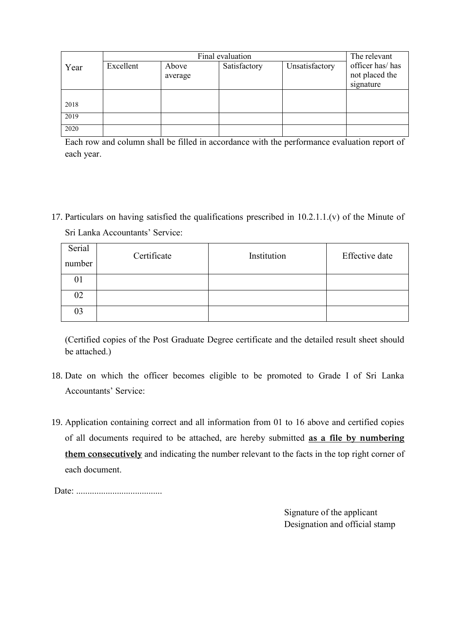|      |           | The relevant     |              |                |                                                |  |
|------|-----------|------------------|--------------|----------------|------------------------------------------------|--|
| Year | Excellent | Above<br>average | Satisfactory | Unsatisfactory | officer has/has<br>not placed the<br>signature |  |
| 2018 |           |                  |              |                |                                                |  |
| 2019 |           |                  |              |                |                                                |  |
| 2020 |           |                  |              |                |                                                |  |

Each row and column shall be filled in accordance with the performance evaluation report of each year.

17. Particulars on having satisfied the qualifications prescribed in 10.2.1.1.(v) of the Minute of Sri Lanka Accountants' Service:

| Serial<br>number | Certificate | Institution | Effective date |
|------------------|-------------|-------------|----------------|
| 01               |             |             |                |
| 02               |             |             |                |
| 03               |             |             |                |

(Certified copies of the Post Graduate Degree certificate and the detailed result sheet should be attached.)

- 18. Date on which the officer becomes eligible to be promoted to Grade I of Sri Lanka Accountants' Service:
- 19. Application containing correct and all information from 01 to 16 above and certified copies of all documents required to be attached, are hereby submitted **as a file by numbering them consecutively** and indicating the number relevant to the facts in the top right corner of each document.

Date: ......................................

Signature of the applicant Designation and official stamp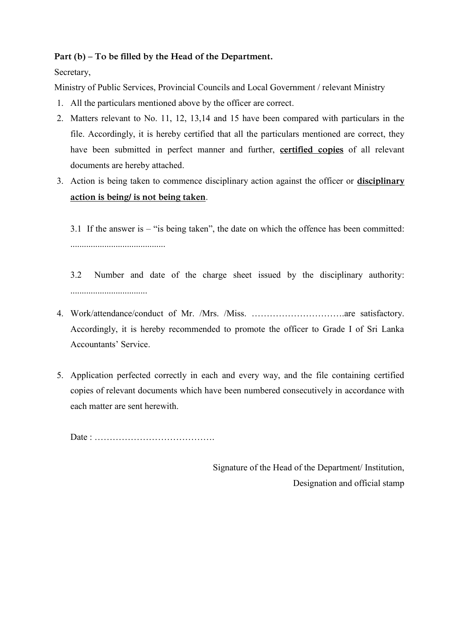## **Part (b) – To be filled by the Head of the Department.**

## Secretary,

Ministry of Public Services, Provincial Councils and Local Government / relevant Ministry

- 1. All the particulars mentioned above by the officer are correct.
- 2. Matters relevant to No. 11, 12, 13,14 and 15 have been compared with particulars in the file. Accordingly, it is hereby certified that all the particulars mentioned are correct, they have been submitted in perfect manner and further, **certified copies** of all relevant documents are hereby attached.
- 3. Action is being taken to commence disciplinary action against the officer or **disciplinary action is being/ is not being taken**.

3.1 If the answer is – "is being taken", the date on which the offence has been committed: ..........................................

- 3.2 Number and date of the charge sheet issued by the disciplinary authority: ..................................
- 4. Work/attendance/conduct of Mr. /Mrs. /Miss. ………………………….are satisfactory. Accordingly, it is hereby recommended to promote the officer to Grade I of Sri Lanka Accountants' Service.
- 5. Application perfected correctly in each and every way, and the file containing certified copies of relevant documents which have been numbered consecutively in accordance with each matter are sent herewith.

Date : ………………………………….

Signature of the Head of the Department/ Institution, Designation and official stamp